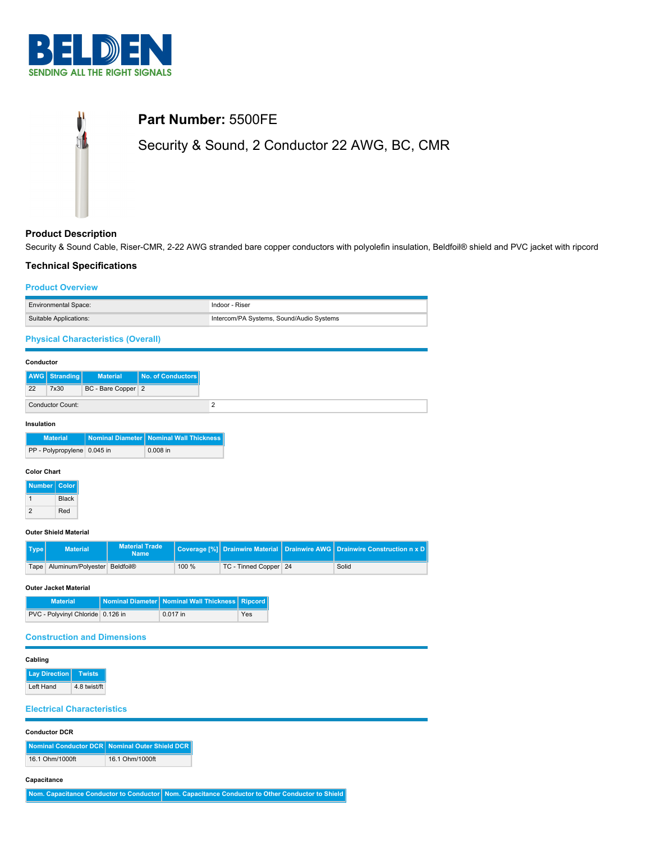



## **Product Description**

Security & Sound Cable, Riser-CMR, 2-22 AWG stranded bare copper conductors with polyolefin insulation, Beldfoil® shield and PVC jacket with ripcord

## **Technical Specifications**

### **Product Overview**

| <b>Environmental Space:</b>               | Indoor - Riser                           |
|-------------------------------------------|------------------------------------------|
| Suitable Applications:                    | Intercom/PA Systems, Sound/Audio Systems |
| <b>Physical Characteristics (Overall)</b> |                                          |

#### **Conductor**

|    | <b>AWG</b> Stranding | <b>Material</b>    | No. of Conductors |
|----|----------------------|--------------------|-------------------|
| 22 | 7x30                 | BC - Bare Copper 2 |                   |
|    | Conductor Count:     |                    |                   |

#### **Insulation**

| <b>Material</b>             | Nominal Diameter   Nominal Wall Thickness |
|-----------------------------|-------------------------------------------|
| PP - Polypropylene 0.045 in | $0.008$ in                                |

### **Color Chart**

| <b>Number</b> | Color        |
|---------------|--------------|
|               | <b>Black</b> |
|               | Red          |

#### **Outer Shield Material**

| Type | <b>Material</b>                   | <b>Material Trade</b><br><b>Name</b> |       |                       |       |
|------|-----------------------------------|--------------------------------------|-------|-----------------------|-------|
|      | Tape Aluminum/Polyester Beldfoil® |                                      | 100 % | TC - Tinned Copper 24 | Solid |

#### **Outer Jacket Material**

| <b>Material</b>                   | Nominal Diameter   Nominal Wall Thickness   Ripcord |     |
|-----------------------------------|-----------------------------------------------------|-----|
| PVC - Polyvinyl Chloride 0.126 in | 0.017 in                                            | Yes |

### **Construction and Dimensions**

#### **Cabling**

**Lay Direction Twists** Left Hand 4.8 twist/ft

### **Electrical Characteristics**

| <b>Conductor DCR</b> |                                                  |
|----------------------|--------------------------------------------------|
|                      | Nominal Conductor DCR   Nominal Outer Shield DCR |
| 16.1 Ohm/1000ft      | 16.1 Ohm/1000ft                                  |
| Capacitance          |                                                  |

**Nom. Capacitance Conductor to Conductor Nom. Capacitance Conductor to Other Conductor to Shield**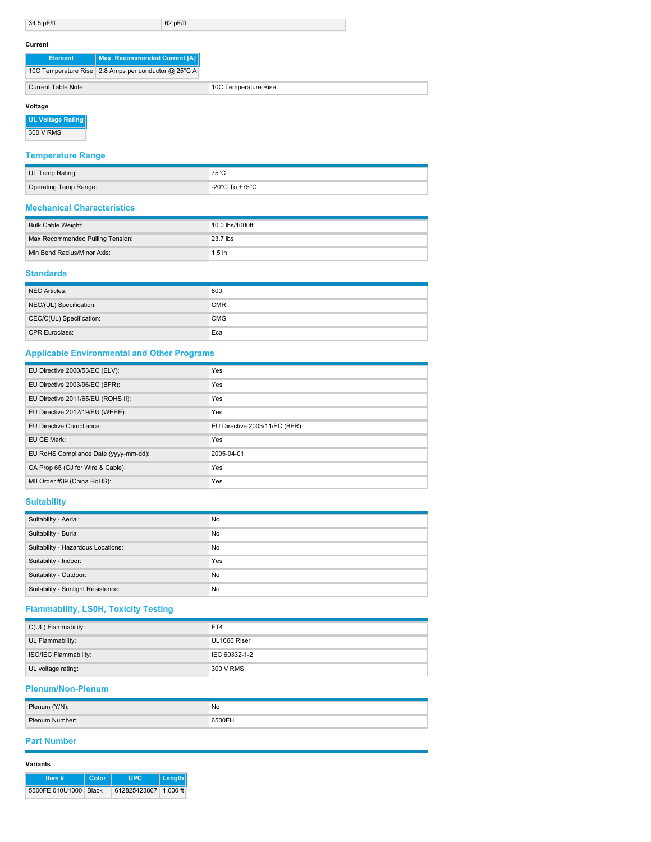34.5 pF/ft 62 pF/ft

#### **Current**

| <b>Element</b>      | Max. Recommended Current [A]                         |  |
|---------------------|------------------------------------------------------|--|
|                     | 10C Temperature Rise 2.8 Amps per conductor @ 25°C A |  |
| Current Table Note: |                                                      |  |

 $\overline{\phantom{a}}$ 

## **Voltage**

| <b>UL Voltage Rating</b> |  |
|--------------------------|--|
|--------------------------|--|

300 V RMS

# **Temperature Range**

| UL Temp Rating:       | $75^{\circ}$ C |
|-----------------------|----------------|
| Operating Temp Range: | -20°C To +75°C |

### **Mechanical Characteristics**

| Bulk Cable Weight:               | 10.0 lbs/1000ft |
|----------------------------------|-----------------|
| Max Recommended Pulling Tension: | 23.7 lbs        |
| Min Bend Radius/Minor Axis:      | $1.5$ in        |

## **Standards**

| NEC Articles:            | 800        |
|--------------------------|------------|
| NEC/(UL) Specification:  | <b>CMR</b> |
| CEC/C(UL) Specification: | <b>CMG</b> |
| <b>CPR Euroclass:</b>    | Eca        |

## **Applicable Environmental and Other Programs**

| EU Directive 2000/53/EC (ELV):        | Yes                           |
|---------------------------------------|-------------------------------|
| EU Directive 2003/96/EC (BFR):        | Yes                           |
| EU Directive 2011/65/EU (ROHS II):    | Yes                           |
| EU Directive 2012/19/EU (WEEE):       | Yes                           |
| EU Directive Compliance:              | EU Directive 2003/11/EC (BFR) |
| EU CE Mark:                           | Yes                           |
| EU RoHS Compliance Date (yyyy-mm-dd): | 2005-04-01                    |
| CA Prop 65 (CJ for Wire & Cable):     | Yes                           |
| MII Order #39 (China RoHS):           | Yes                           |

# **Suitability**

| Suitability - Aerial:              | No        |
|------------------------------------|-----------|
| Suitability - Burial:              | No        |
| Suitability - Hazardous Locations: | No        |
| Suitability - Indoor:              | Yes       |
| Suitability - Outdoor:             | No        |
| Suitability - Sunlight Resistance: | <b>No</b> |

# **Flammability, LS0H, Toxicity Testing**

| C(UL) Flammability:   | FT4           |  |  |
|-----------------------|---------------|--|--|
| UL Flammability:      | UL1666 Riser  |  |  |
| ISO/IEC Flammability: | IEC 60332-1-2 |  |  |
| UL voltage rating:    | 300 V RMS     |  |  |

# **Plenum/Non-Plenum**

| Plenum (Y/N):  | No    |
|----------------|-------|
| Plenum Number: | 6500F |

## **Part Number**

| 12 N T<br>ır | í |
|--------------|---|
|              |   |

| Item $#$              | Color | <b>LIPC</b>           | Length |
|-----------------------|-------|-----------------------|--------|
| 5500FE 010U1000 Black |       | 612825423867 1.000 ft |        |